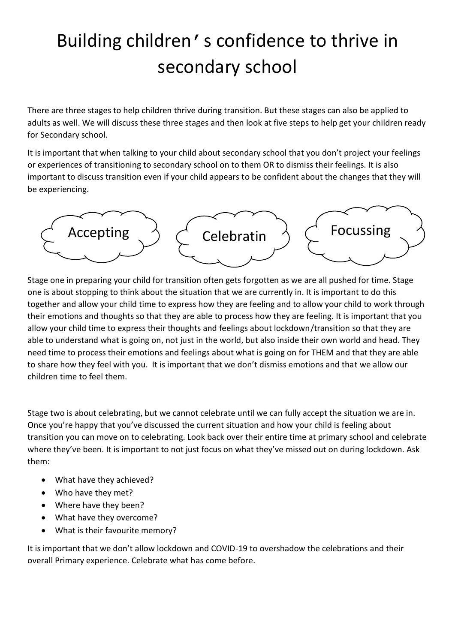## Building children's confidence to thrive in secondary school

There are three stages to help children thrive during transition. But these stages can also be applied to adults as well. We will discuss these three stages and then look at five steps to help get your children ready for Secondary school.

It is important that when talking to your child about secondary school that you don't project your feelings or experiences of transitioning to secondary school on to them OR to dismiss their feelings. It is also important to discuss transition even if your child appears to be confident about the changes that they will be experiencing.



Stage one in preparing your child for transition often gets forgotten as we are all pushed for time. Stage one is about stopping to think about the situation that we are currently in. It is important to do this together and allow your child time to express how they are feeling and to allow your child to work through their emotions and thoughts so that they are able to process how they are feeling. It is important that you allow your child time to express their thoughts and feelings about lockdown/transition so that they are able to understand what is going on, not just in the world, but also inside their own world and head. They need time to process their emotions and feelings about what is going on for THEM and that they are able to share how they feel with you. It is important that we don't dismiss emotions and that we allow our children time to feel them.

Stage two is about celebrating, but we cannot celebrate until we can fully accept the situation we are in. Once you're happy that you've discussed the current situation and how your child is feeling about transition you can move on to celebrating. Look back over their entire time at primary school and celebrate where they've been. It is important to not just focus on what they've missed out on during lockdown. Ask them:

- What have they achieved?
- Who have they met?
- Where have they been?
- What have they overcome?
- What is their favourite memory?

It is important that we don't allow lockdown and COVID-19 to overshadow the celebrations and their overall Primary experience. Celebrate what has come before.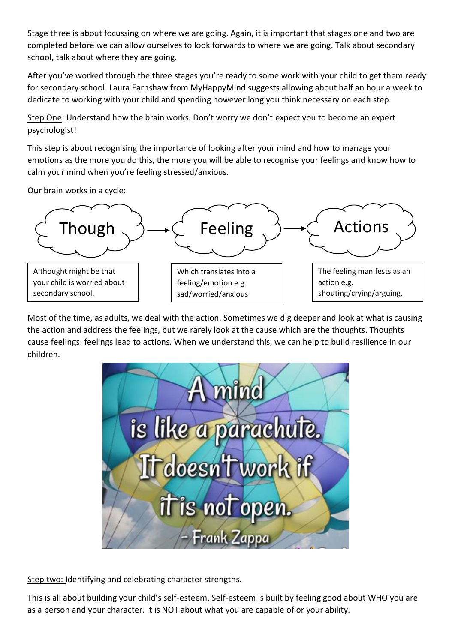Stage three is about focussing on where we are going. Again, it is important that stages one and two are completed before we can allow ourselves to look forwards to where we are going. Talk about secondary school, talk about where they are going.

After you've worked through the three stages you're ready to some work with your child to get them ready for secondary school. Laura Earnshaw from MyHappyMind suggests allowing about half an hour a week to dedicate to working with your child and spending however long you think necessary on each step.

Step One: Understand how the brain works. Don't worry we don't expect you to become an expert psychologist!

This step is about recognising the importance of looking after your mind and how to manage your emotions as the more you do this, the more you will be able to recognise your feelings and know how to calm your mind when you're feeling stressed/anxious.

Our brain works in a cycle:



Most of the time, as adults, we deal with the action. Sometimes we dig deeper and look at what is causing the action and address the feelings, but we rarely look at the cause which are the thoughts. Thoughts cause feelings: feelings lead to actions. When we understand this, we can help to build resilience in our children.



Step two: Identifying and celebrating character strengths.

This is all about building your child's self-esteem. Self-esteem is built by feeling good about WHO you are as a person and your character. It is NOT about what you are capable of or your ability.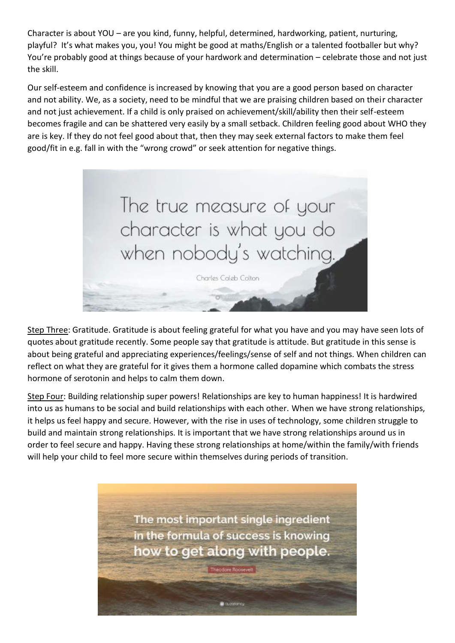Character is about YOU – are you kind, funny, helpful, determined, hardworking, patient, nurturing, playful? It's what makes you, you! You might be good at maths/English or a talented footballer but why? You're probably good at things because of your hardwork and determination – celebrate those and not just the skill.

Our self-esteem and confidence is increased by knowing that you are a good person based on character and not ability. We, as a society, need to be mindful that we are praising children based on their character and not just achievement. If a child is only praised on achievement/skill/ability then their self-esteem becomes fragile and can be shattered very easily by a small setback. Children feeling good about WHO they are is key. If they do not feel good about that, then they may seek external factors to make them feel good/fit in e.g. fall in with the "wrong crowd" or seek attention for negative things.



Step Three: Gratitude. Gratitude is about feeling grateful for what you have and you may have seen lots of quotes about gratitude recently. Some people say that gratitude is attitude. But gratitude in this sense is about being grateful and appreciating experiences/feelings/sense of self and not things. When children can reflect on what they are grateful for it gives them a hormone called dopamine which combats the stress hormone of serotonin and helps to calm them down.

Step Four: Building relationship super powers! Relationships are key to human happiness! It is hardwired into us as humans to be social and build relationships with each other. When we have strong relationships, it helps us feel happy and secure. However, with the rise in uses of technology, some children struggle to build and maintain strong relationships. It is important that we have strong relationships around us in order to feel secure and happy. Having these strong relationships at home/within the family/with friends will help your child to feel more secure within themselves during periods of transition.